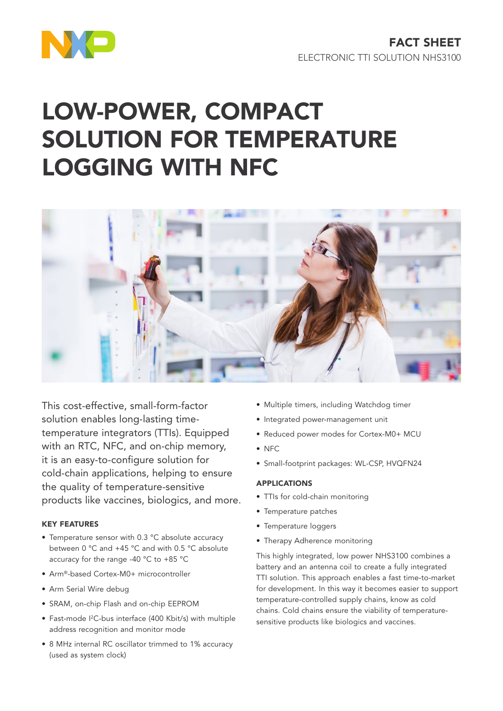

# LOW-POWER, COMPACT SOLUTION FOR TEMPERATURE LOGGING WITH NFC



This cost-effective, small-form-factor solution enables long-lasting timetemperature integrators (TTIs). Equipped with an RTC, NFC, and on-chip memory, it is an easy-to-configure solution for cold-chain applications, helping to ensure the quality of temperature-sensitive products like vaccines, biologics, and more.

# KEY FEATURES

- Temperature sensor with 0.3 °C absolute accuracy between 0 °C and +45 °C and with 0.5 °C absolute accuracy for the range -40 °C to +85 °C
- Arm®-based Cortex-M0+ microcontroller
- Arm Serial Wire debug
- SRAM, on-chip Flash and on-chip EEPROM
- Fast-mode I<sup>2</sup>C-bus interface (400 Kbit/s) with multiple address recognition and monitor mode
- 8 MHz internal RC oscillator trimmed to 1% accuracy (used as system clock)
- Multiple timers, including Watchdog timer
- Integrated power-management unit
- Reduced power modes for Cortex-M0+ MCU
- NFC
- Small-footprint packages: WL-CSP, HVQFN24

### APPLICATIONS

- TTIs for cold-chain monitoring
- Temperature patches
- Temperature loggers
- Therapy Adherence monitoring

This highly integrated, low power NHS3100 combines a battery and an antenna coil to create a fully integrated TTI solution. This approach enables a fast time-to-market for development. In this way it becomes easier to support temperature-controlled supply chains, know as cold chains. Cold chains ensure the viability of temperaturesensitive products like biologics and vaccines.